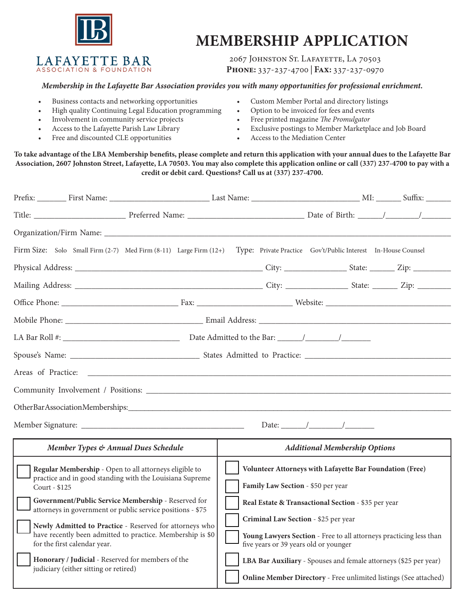

LAFAYETTE BAR ASSOCIATION & FOUNDATION

# **MEMBERSHIP APPLICATION**

2067 JOHNSTON ST. LAFAYETTE, LA 70503 **Phone:** 337-237-4700 | **Fax:** 337-237-0970

#### *Membership in the Lafayette Bar Association provides you with many opportunities for professional enrichment.*

- Business contacts and networking opportunities
- High quality Continuing Legal Education programming
- Involvement in community service projects
- Access to the Lafayette Parish Law Library
- Free and discounted CLE opportunities
- Custom Member Portal and directory listings
- Option to be invoiced for fees and events
- Free printed magazine *The Promulgator*
- Exclusive postings to Member Marketplace and Job Board
- Access to the Mediation Center

**To take advantage of the LBA Membership benefits, please complete and return this application with your annual dues to the Lafayette Bar Association, 2607 Johnston Street, Lafayette, LA 70503. You may also complete this application online or call (337) 237-4700 to pay with a credit or debit card. Questions? Call us at (337) 237-4700.**

| Firm Size: Solo Small Firm (2-7) Med Firm (8-11) Large Firm (12+)                                                                                                                                                                                                          |                                                                           |  |                                                     |                                                                  | Type: Private Practice Gov't/Public Interest In-House Counsel                                               |                                                                  |  |  |  |
|----------------------------------------------------------------------------------------------------------------------------------------------------------------------------------------------------------------------------------------------------------------------------|---------------------------------------------------------------------------|--|-----------------------------------------------------|------------------------------------------------------------------|-------------------------------------------------------------------------------------------------------------|------------------------------------------------------------------|--|--|--|
|                                                                                                                                                                                                                                                                            |                                                                           |  |                                                     |                                                                  |                                                                                                             |                                                                  |  |  |  |
|                                                                                                                                                                                                                                                                            |                                                                           |  |                                                     |                                                                  |                                                                                                             |                                                                  |  |  |  |
|                                                                                                                                                                                                                                                                            |                                                                           |  |                                                     |                                                                  |                                                                                                             |                                                                  |  |  |  |
|                                                                                                                                                                                                                                                                            |                                                                           |  |                                                     |                                                                  |                                                                                                             |                                                                  |  |  |  |
|                                                                                                                                                                                                                                                                            |                                                                           |  |                                                     |                                                                  |                                                                                                             |                                                                  |  |  |  |
|                                                                                                                                                                                                                                                                            |                                                                           |  |                                                     |                                                                  |                                                                                                             |                                                                  |  |  |  |
| Areas of Practice:                                                                                                                                                                                                                                                         |                                                                           |  |                                                     |                                                                  |                                                                                                             |                                                                  |  |  |  |
|                                                                                                                                                                                                                                                                            |                                                                           |  |                                                     |                                                                  |                                                                                                             |                                                                  |  |  |  |
|                                                                                                                                                                                                                                                                            |                                                                           |  |                                                     |                                                                  |                                                                                                             |                                                                  |  |  |  |
|                                                                                                                                                                                                                                                                            |                                                                           |  |                                                     |                                                                  |                                                                                                             |                                                                  |  |  |  |
| Member Types & Annual Dues Schedule                                                                                                                                                                                                                                        |                                                                           |  |                                                     | <b>Additional Membership Options</b>                             |                                                                                                             |                                                                  |  |  |  |
| Regular Membership - Open to all attorneys eligible to                                                                                                                                                                                                                     |                                                                           |  |                                                     | Volunteer Attorneys with Lafayette Bar Foundation (Free)         |                                                                                                             |                                                                  |  |  |  |
|                                                                                                                                                                                                                                                                            | practice and in good standing with the Louisiana Supreme<br>Court - \$125 |  |                                                     | Family Law Section - \$50 per year                               |                                                                                                             |                                                                  |  |  |  |
| Government/Public Service Membership - Reserved for<br>attorneys in government or public service positions - \$75<br>Newly Admitted to Practice - Reserved for attorneys who<br>have recently been admitted to practice. Membership is \$0<br>for the first calendar year. |                                                                           |  | Real Estate & Transactional Section - \$35 per year |                                                                  |                                                                                                             |                                                                  |  |  |  |
|                                                                                                                                                                                                                                                                            |                                                                           |  | Criminal Law Section - \$25 per year                |                                                                  |                                                                                                             |                                                                  |  |  |  |
|                                                                                                                                                                                                                                                                            |                                                                           |  |                                                     |                                                                  | Young Lawyers Section - Free to all attorneys practicing less than<br>five years or 39 years old or younger |                                                                  |  |  |  |
| Honorary / Judicial - Reserved for members of the<br>judiciary (either sitting or retired)                                                                                                                                                                                 |                                                                           |  |                                                     | LBA Bar Auxiliary - Spouses and female attorneys (\$25 per year) |                                                                                                             |                                                                  |  |  |  |
|                                                                                                                                                                                                                                                                            |                                                                           |  |                                                     |                                                                  |                                                                                                             | Online Member Directory - Free unlimited listings (See attached) |  |  |  |